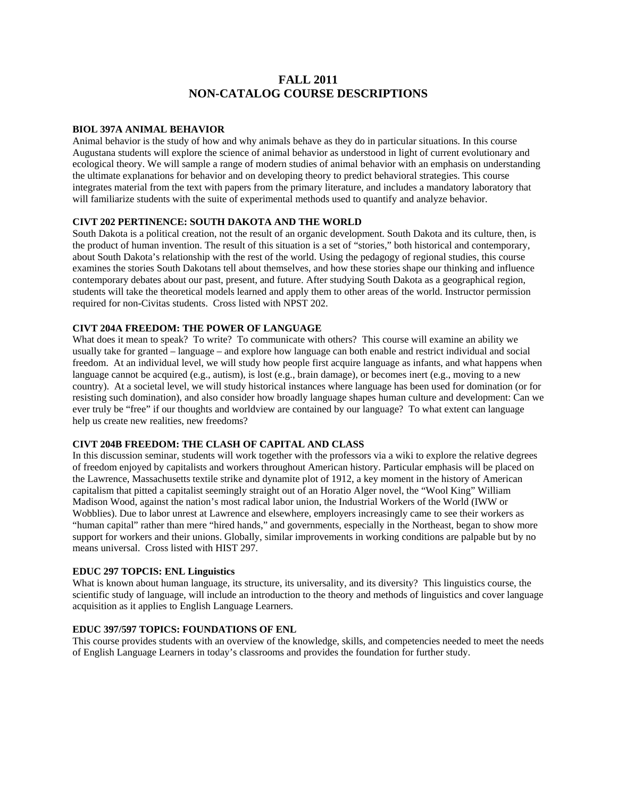# **FALL 2011 NON-CATALOG COURSE DESCRIPTIONS**

### **BIOL 397A ANIMAL BEHAVIOR**

Animal behavior is the study of how and why animals behave as they do in particular situations. In this course Augustana students will explore the science of animal behavior as understood in light of current evolutionary and ecological theory. We will sample a range of modern studies of animal behavior with an emphasis on understanding the ultimate explanations for behavior and on developing theory to predict behavioral strategies. This course integrates material from the text with papers from the primary literature, and includes a mandatory laboratory that will familiarize students with the suite of experimental methods used to quantify and analyze behavior.

### **CIVT 202 PERTINENCE: SOUTH DAKOTA AND THE WORLD**

South Dakota is a political creation, not the result of an organic development. South Dakota and its culture, then, is the product of human invention. The result of this situation is a set of "stories," both historical and contemporary, about South Dakota's relationship with the rest of the world. Using the pedagogy of regional studies, this course examines the stories South Dakotans tell about themselves, and how these stories shape our thinking and influence contemporary debates about our past, present, and future. After studying South Dakota as a geographical region, students will take the theoretical models learned and apply them to other areas of the world. Instructor permission required for non-Civitas students. Cross listed with NPST 202.

#### **CIVT 204A FREEDOM: THE POWER OF LANGUAGE**

What does it mean to speak? To write? To communicate with others? This course will examine an ability we usually take for granted – language – and explore how language can both enable and restrict individual and social freedom. At an individual level, we will study how people first acquire language as infants, and what happens when language cannot be acquired (e.g., autism), is lost (e.g., brain damage), or becomes inert (e.g., moving to a new country). At a societal level, we will study historical instances where language has been used for domination (or for resisting such domination), and also consider how broadly language shapes human culture and development: Can we ever truly be "free" if our thoughts and worldview are contained by our language? To what extent can language help us create new realities, new freedoms?

# **CIVT 204B FREEDOM: THE CLASH OF CAPITAL AND CLASS**

In this discussion seminar, students will work together with the professors via a wiki to explore the relative degrees of freedom enjoyed by capitalists and workers throughout American history. Particular emphasis will be placed on the Lawrence, Massachusetts textile strike and dynamite plot of 1912, a key moment in the history of American capitalism that pitted a capitalist seemingly straight out of an Horatio Alger novel, the "Wool King" William Madison Wood, against the nation's most radical labor union, the Industrial Workers of the World (IWW or Wobblies). Due to labor unrest at Lawrence and elsewhere, employers increasingly came to see their workers as "human capital" rather than mere "hired hands," and governments, especially in the Northeast, began to show more support for workers and their unions. Globally, similar improvements in working conditions are palpable but by no means universal. Cross listed with HIST 297.

### **EDUC 297 TOPCIS: ENL Linguistics**

What is known about human language, its structure, its universality, and its diversity? This linguistics course, the scientific study of language, will include an introduction to the theory and methods of linguistics and cover language acquisition as it applies to English Language Learners.

# **EDUC 397/597 TOPICS: FOUNDATIONS OF ENL**

This course provides students with an overview of the knowledge, skills, and competencies needed to meet the needs of English Language Learners in today's classrooms and provides the foundation for further study.